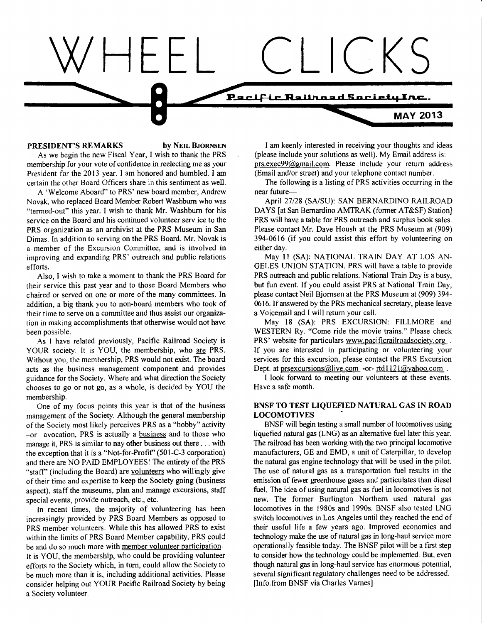# $CKS$ **1<sup>3</sup> m-c-ILF-uciFtaairt-cLa-d\_acur\_a\_m\_taf.I • • MAY 2013**

#### **PRESIDENT'S REMARKS by NEIL BJORNSEN**

As we begin the new Fiscal Year, I wish to thank the PRS membership for your vote of confidence in reelecting me as your President for the 2013 year. I am honored and humbled. I am certain the other Board Officers share in this sentiment as well.

A 'Welcome Aboard" to PRS' new board member, Andrew Novak, who replaced Board Member Robert Washburn who was "termed-out" this year. I wish to thank Mr. Washburn for his service on the Board and his continued volunteer sery ice to the PRS organization as an archivist at the PRS Museum in San Dimas. In addition to serving on the PRS Board, Mr. Novak is a member of the Excursion Committee, and is involved in improving and expanding PRS' outreach and public relations efforts.

Also, I wish to take a moment to thank the PRS Board for their service this past year and to those Board Members who chaired or served on one or more of the many committees. In addition, a big thank you to non-board members who took of their time to serve on a committee and thus assist our organization in making accomplishments that otherwise would not have been possible.

As I have related previously, Pacific Railroad Society is YOUR society. It is YOU, the membership, who are PRS. Without you, the membership, PRS would not exist. The board acts as the business management component and provides guidance for the Society. Where and what direction the Society chooses to go or not go, as a whole, is decided by YOU the membership.

One of my focus points this year is that of the business management of the Society. Although the general membership of the Society most likely perceives PRS as a "hobby" activity –or– avocation, PRS is actually a business and to those who manage it, PRS is similar to nay other business out there .. . with the exception that it is a "Not-for-Profit" (501-C-3 corporation) and there are NO PAID EMPLOYEES! The entirety of the PRS "staff" (including the Board) are volunteers who willingly give of their time and expertise to keep the Society going (business aspect), staff the museums, plan and manage excursions, staff special events, provide outreach, etc., etc.

In recent times, the majority of volunteering has been increasingly provided by PRS Board Members as opposed to PRS member volunteers. While this has allowed PRS to exist within the limits of PRS Board Member capability, PRS could be and do so much more with member volunteer participation. It is YOU, the membership, who could be providing volunteer efforts to the Society which, in turn, could allow the Society to be much more than it is, including additional activities. Please consider helping out YOUR Pacific Railroad Society by being

a Society volunteer.

I am keenly interested in receiving your thoughts and ideas (please include your solutions as well). My Email address is: prs.exec99@gmail.com. Please include your return address (Email and/or street) and your telephone contact number.

The following is a listing of PRS activities occurring in the near future—

April 27/28 (SA/SU): SAN BERNARDINO RAILROAD DAYS [at San Bernardino AMTRAK (former AT&SF) Station] PRS will have a table for PRS outreach and surplus book sales. Please contact Mr. Dave Housh at the PRS Museum at (909) 394-0616 (if you could assist this effort by volunteering on either day.

May 11 (SA): NATIONAL TRAIN DAY AT LOS AN-GELES UNION STATION. PRS will have a table to provide PRS outreach and public relations. National Train Day is a busy, but fun event. If you could assist PRS at National Train Day, please contact Neil Bjornsen at the PRS Museum at (909) 394- 0616. If answered by the PRS mechanical secretary, please leave a Voicemail and I will return your call.

May 18 (SA): PRS EXCURSION: FILLMORE and WESTERN Ry. "Come ride the movie trains." Please check PRS' website for particulars www.pacificrailroadsociety.org . If you are interested in participating or volunteering your services for this excursion, please contact the PRS Excursion If you are interested in participating or volunteering your<br>services for this excursion, please contact the PRS Excursion<br>Dept. at <u>prsexcursions@live.com</u> -or- <u>rtd1121@yahoo.com</u> .<br>I look forward to mosting our voluntee

I look forward to meeting our volunteers at these events. Have a safe month.

## **BNSF TO TEST LIQUEFIED NATURAL GAS IN ROAD LOCOMOTIVES**

BNSF will begin testing a small number of locomotives using liquefied natural gas (LNG) as an alternative fuel later this year. The railroad has been working with the two principal locomotive manufacturers, GE and EMD, a unit of Caterpillar, to develop the natural gas engine technology that will be used in the pilot. The use of natural gas as a transportation fuel results in the emission of fewer greenhouse gases and particulates than diesel fuel. The idea of using natural gas as fuel in locomotives is not new. The former Burlington Northern used natural gas locomotives in the 1980s and 1990s. BNSF also tested LNG switch locomotives in Los Angeles until they reached the end of their useful life a few years ago. Improved economics and technology make the use of natural gas in long-haul service more operationally feasible today. The BNSF pilot will be a first step to consider how the technology could be implemented. But, even though natural gas in long-haul service has enormous potential, several significant regulatory challenges need to be addressed. [Info.from BNSF via Charles Varnes]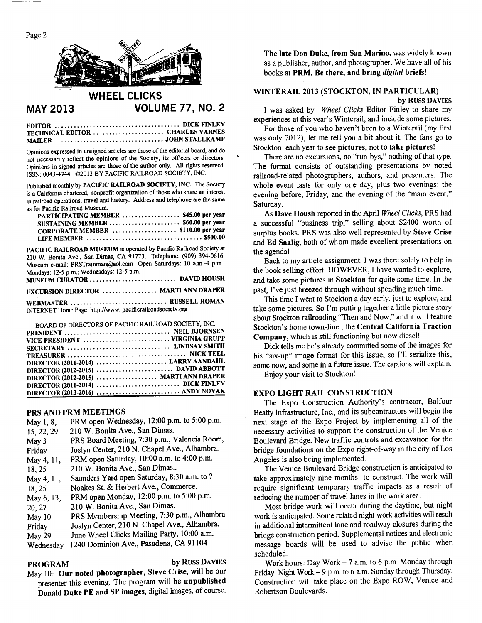

# **WHEEL CLICKS MAY 2013 VOLUME 77, NO. 2**

**EDITOR DICK FINLEY TECHNICAL EDITOR ....................... CHARLES VARNES MAILER JOHN STALLKAMP** 

Opinions expressed in unsigned articles are those of the editorial board, and do not necessarily reflect the opinions of the Society, its officers or directors. Opinions in signed articles are those of the author only. All rights reserved. ISSN: 0043-4744. ©2013 BY PACIFIC RAILROAD SOCIETY, INC.

Published monthly by **PACIFIC RAILROAD SOCIETY, INC.** The Society is a California chartered, nonprofit organization of those who share an interest in railroad operations, travel and history. Address **and telephone are the same**  as for Pacific Railroad Museum.

| PARTICIPATING MEMBER  \$45.00 per year |  |
|----------------------------------------|--|
| SUSTAINING MEMBER  \$60.00 per year    |  |
| CORPORATE MEMBER  \$110.00 per year    |  |
|                                        |  |

**PACIFIC RAILROAD MUSEUM** is operated by Pacific Railroad Society at 210 W. Bonita Ave., San Dimas, CA 91773. Telephone: (909) 394-0616. Museum e-mail: PRSTrainman@aol.com Open Saturdays: 10 a.m.-4 p.m.; Mondays: 12-5 p.m.; Wednesdays: 12-5 p.m. **MUSEUM CURATOR DAVID HOUSH** 

**EXCURSION DIRECTOR ................. MARTI ANN DRAPER** 

WEBMASTER ................................ RUSSELL HOMAN INTERNET Home Page: http://www. pacificrailroadsociety.org

| BOARD OF DIRECTORS OF PACIFIC RAILROAD SOCIETY, INC. |  |
|------------------------------------------------------|--|
|                                                      |  |
| VICE-PRESIDENT  VIRGINIA GRUPP                       |  |
|                                                      |  |
|                                                      |  |
| DIRECTOR (2011-2014)  LARRY AANDAHL                  |  |
|                                                      |  |
| DIRECTOR (2012-2015)  MARTI ANN DRAPER               |  |
|                                                      |  |
|                                                      |  |

## **PRS AND PRM MEETINGS**

| May 1, 8,  | PRM open Wednesday, 12:00 p.m. to 5:00 p.m.  |
|------------|----------------------------------------------|
| 15, 22, 29 | 210 W. Bonita Ave., San Dimas.               |
| May 3      | PRS Board Meeting, 7:30 p.m., Valencia Room, |
| Friday     | Joslyn Center, 210 N. Chapel Ave., Alhambra. |
| May 4, 11, | PRM open Saturday, 10:00 a.m. to 4:00 p.m.   |
| 18,25      | 210 W. Bonita Ave., San Dimas                |
| May 4, 11, | Saunders Yard open Saturday, 8:30 a.m. to ?  |
| 18,25      | Noakes St. & Herbert Ave., Commerce.         |
| May 6, 13, | PRM open Monday, 12:00 p.m. to 5:00 p.m.     |
| 20, 27     | 210 W. Bonita Ave., San Dimas.               |
| May 10     | PRS Membership Meeting, 7:30 p.m., Alhambra  |
| Friday     | Joslyn Center, 210 N. Chapel Ave., Alhambra. |
| May 29     | June Wheel Clicks Mailing Party, 10:00 a.m.  |
| Wednesday  | 1240 Dominion Ave., Pasadena, CA 91104       |
|            |                                              |

**PROGRAM by** RUSS **DAVIES**  May 10: **Our noted photographer, Steve Crise,** will be our presenter this evening. The program will be **unpublished Donald Duke PE and SP images,** digital images, of course.

**The late Don Duke, from San Marino,** was widely known as a publisher, author, and photographer. We have all of his books at **PRM. Be there, and bring** *digital* **briefs!** 

# **WINTERAIL 2013 (STOCKTON, IN PARTICULAR)**

**by** RUSS **DAVIES** 

I was asked by *Wheel Clicks* Editor Finley to share my experiences at this year's Winterail, and include some pictures.

For those of you who haven't been to a Winterail (my first was only 2012), let me tell you a bit about it. The fans go to Stockton each year to **see pictures,** not to **take pictures!** 

There are no excursions, no "run-bys," nothing of that type. The format consists of outstanding presentations by noted railroad-related photographers, authors, and presenters. The whole event lasts for only one day, plus two evenings: the evening before, Friday, and the evening of the "main event," Saturday.

As **Dave Housh** reported in the April *Wheel Clicks,* PRS had a successful "business trip," selling about \$2400 worth of surplus books. PRS was also well represented by Steve **C rise**  and **Ed Saalig,** both of whom made excellent presentations on the agenda!

Back to my article assignment. I was there solely to help in the book selling effort. HOWEVER, I have wanted to explore, and take some pictures in **Stockton** for quite some time. In the past, I've just breezed through without spending much time.

This time I went to Stockton a day early, just to explore, and take some pictures. So I'm putting tegether a little picture story about Stockton railroading "Then and Now," and it will feature Stockton's home town-line , the **Central California Traction Company,** which is still functioning but now diesel!

Dick tells me he's already committed some of the images for his "six-up" image format for this issue, so I'll serialize this, some now, and some in a future issue. The captions will explain.

Enjoy your visit to Stockton!

## **EXPO LIGHT RAIL CONSTRUCTION**

The Expo Construction Authority's contractor, Balfour Beatty Infrastructure, Inc., and its subcontractors will begin the next stage of the Expo Project by implementing all of the necessary activities to support the construction of the Venice Boulevard Bridge. New traffic controls and excavation for the bridge foundations on the Expo right-of-way in the city of Los Angeles is also being implemented.

The Venice Boulevard Bridge construction is anticipated to take approximately nine months to construct. The work will require significant temporary traffic impacts as a result of reducing the number of travel lanes in the work area.

Most bridge work will occur during the daytime, but night work is anticipated. Some related night work activities will result in additional intermittent lane and roadway closures during the bridge construction period. Supplemental notices and electronic message boards will be used to advise the public when scheduled.

Work hours: Day Work — 7 a.m. to 6 p.m. Monday through Friday. Night Work — 9 p.m. to 6 a.m. Sunday through Thursday. Construction will take place on the Expo ROW, Venice and Robertson Boulevards.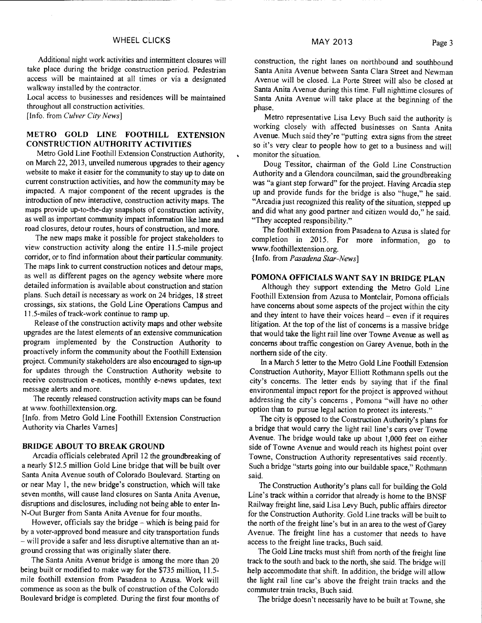Additional night work activities and intermittent closures will take place during the bridge construction period. Pedestrian access will be maintained at all times or via a designated walkway installed by the contractor.

Local access to businesses and residences will be maintained throughout all construction activities.

[Info. from *Culver City News]* 

# METRO **GOLD LINE FOOTHILL EXTENSION CONSTRUCTION AUTHORITY ACTIVITIES**

Metro Gold Line Foothill Extension Construction Authority, on March 22, 2013, unveiled numerous upgrades to their agency website to make it easier for the community to stay up to date on current construction activities, and how the community may be impacted. A major component of the recent upgrades is the introduction of new interactive, construction activity maps. The maps provide up-to-the-day snapshots of construction activity, as well as important community impact information like lane and road closures, detour routes, hours of construction, and more.

The new maps make it possible for project stakeholders to view construction activity along the entire 11.5-mile project corridor, or to find information about their particular community. The maps link to current construction notices and detour maps, as well as different pages on the agency website where more detailed information is available about construction and station plans. Such detail is necessary as work on 24 bridges, 18 street crossings, six stations, the Gold Line Operations Campus and 11.5-miles of track-work continue to ramp up.

Release of the construction activity maps and other website upgrades are the latest elements of an extensive communication program implemented by the Construction Authority to proactively inform the community about the Foothill Extension project. Community stakeholders are also encouraged to sign-up for updates through the Construction Authority website to receive construction e-notices, monthly e-news updates, text message alerts and more.

The recently released construction activity maps can be found at www.foothillextension.org.

[Info. from Metro Gold Line Foothill Extension Construction Authority via Charles Varnes]

## **BRIDGE ABOUT TO BREAK GROUND**

Arcadia officials celebrated April 12 the groundbreaking of a nearly \$12.5 million Gold Line bridge that will be built over Santa Anita Avenue south of Colorado Boulevard. Starting on or near May 1, the new bridge's construction, which will take seven months, will cause land closures on Santa Anita Avenue, disruptions and disclosures, including not being able to enter In-N-Out Burger from Santa Anita Avenue for four months.

However, officials say the bridge  $-$  which is being paid for by a voter-approved bond measure and city transportation funds — will provide a safer and less disruptive alternative than an atground crossing that was originally slater there.

The Santa Anita Avenue bridge is among the more than 20 being built or modified to make way for the \$735 million, 11.5 mile foothill extension from Pasadena to Azusa. Work will commence as soon as the bulk of construction of the Colorado Boulevard bridge is completed. During the first four months of

construction, the right lanes on northbound and southbound Santa Anita Avenue between Santa Clara Street and Newman Avenue will be closed. La Porte Street will also be closed at Santa Anita Avenue during this time. Full nighttime closures of Santa Anita Avenue will take place at the beginning of the phase.

Metro representative Lisa Levy Buch said the authority is working closely with affected businesses on Santa Anita Avenue. Much said they're "putting extra signs from the street so it's very clear to people how to get to a business and will monitor the situation.

Doug Tessitor, chairman of the Gold Line Construction Authority and a Glendora councilman, said the groundbreaking was "a giant step forward" for the project. Having Arcadia step up and provide funds for the bridge is also "huge," he said. "Arcadia just recognized this reality of the situation, stepped up and did what any good partner and citizen would do," he said. "They accepted responsibility."

The foothill extension from Pasadena to Azusa is slated for completion in 2015. For more information, go to www.foothillextension.org.

{Info. from *Pasadena Star-News]* 

# **POMONA OFFICIALS WANT SAY IN BRIDGE PLAN**

Although they support extending the Metro Gold Line Foothill Extension from Azusa to Montclair, Pomona officials have concerns about some aspects of the project within the city and they intent to have their voices heard — even if it requires litigation. At the top of the list of concerns is a massive bridge that would take the light rail line over Towne Avenue as well as concerns about traffic congestion on Garey Avenue, both in the northern side of the city.

In a March 5 letter to the Metro Gold Line Foothill Extension Construction Authority, Mayor Elliott Rothmann spells out the city's concerns. The letter ends by saying that if the final environmental impact report for the project is approved without addressing the city's concerns , Pomona "will have no other option than to pursue legal action to protect its interests."

The city is opposed to the Construction Authority's plans for a bridge that would carry the light rail line's cars over Towne Avenue. The bridge would take up about 1,000 feet on either side of Towne Avenue and would reach its highest point over Towne, Construction Authority representatives said recently. Such a bridge "starts going into our buildable space," Rothmann said.

The Construction Authority's plans call for building the Gold Line's track within a corridor that already is home to the BNSF Railway freight line, said Lisa Levy Buch, public affairs director for the Construction Authority. Gold Line tracks will be built to the north of the freight line's but in an area to the west of Garey Avenue. The freight line has a customer that needs to have access to the freight line tracks, Buch said.

The Gold Line tracks must shift from north of the freight line track to the south and back to the north, she said. The bridge will help accommodate that shift. In addition, the bridge will allow the light rail line car's above the freight train tracks and the commuter train tracks, Buch said.

The bridge doesn't necessarily have to be built at Towne, she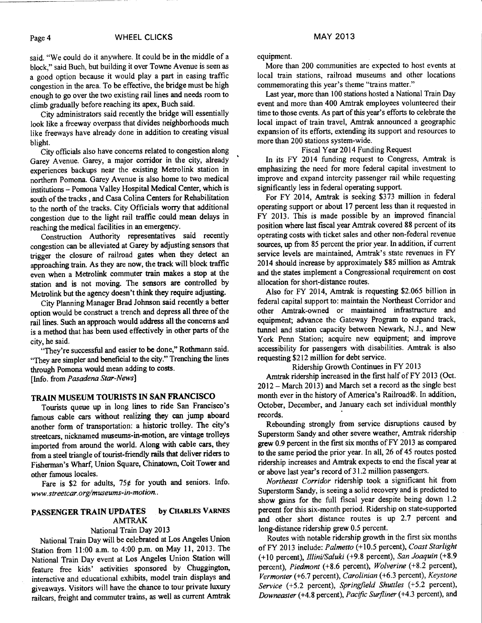said. "We could do it anywhere. It could be in the middle of a block," said Buch, but building it over Towne Avenue is seen as a good option because it would play a part in easing traffic congestion in the area. To be effective, the bridge must be high enough to go over the two existing rail lines and needs room to climb gradually before reaching its apex, Buch said.

City administrators said recently the bridge will essentially look like a freeway overpass that divides neighborhoods much like freeways have already done in addition to creating visual blight.

City officials also have concerns related to congestion along Garey Avenue. Garey, a major corridor in the city, already experiences backups near the existing Metrolink station in northern Pomona. Garey Avenue is also home to two medical institutions — Pomona Valley Hospital Medical Center, which is south of the tracks , and Casa Colina Centers for Rehabilitation to the north of the tracks. City Officials worry that additional congestion due to the light rail traffic could mean delays in reaching the medical facilities in an emergency.

Construction Authority representatives said recently congestion can be alleviated at Garey by adjusting sensors that trigger the closure of railroad gates when they detect an approaching train. As they are now, the track will block traffic even when a Metrolink commuter train makes a stop at the station and is not moving. The sensors are controlled by Metrolink but the agency doesn't think they require adjusting.

City Planning Manager Brad Johnson said recently a better option would be construct a trench and depress all three of the rail lines. Such an approach would address all the concerns and is a method that has been used effectively in other parts of the city, he said.

"They're successful and easier to be done," Rothmann said. "They are simpler and beneficial to the city." Trenching the lines through Pomona would mean adding to costs. [Info. from *Pasadena Star-News]* 

# TRAIN MUSEUM TOURISTS IN SAN FRANCISCO

Tourists queue up in long lines to ride San Francisco's famous cable cars without realizing they can jump aboard another form of transportation: a historic trolley. The city's streetcars, nicknamed museums-in-motion, are vintage trolleys imported from around the world. Along with cable cars, they from a steel triangle of tourist-friendly rails that deliver riders to Fisherman's Wharf, Union Square, Chinatown, Coit Tower and other famous locales.

Fare is \$2 for adults,  $75¢$  for youth and seniors. Info. *www.streetcar.org/museums-in-motion..* 

## PASSENGER TRAIN **UPDATES by** CHARLES VARNES AMTRAK

#### National Train Day 2013

National Train Day will be celebrated at Los Angeles Union Station from 11:00 a.m. to 4:00 p.m. on May 11, 2013. The National Train Day event at Los Angeles Union Station will feature free kids' activities sponsored by Chuggington, interactive and educational exhibits, model train displays and giveaways. Visitors will have the chance to tour private luxury railcars, freight and commuter trains, as well as current Amtrak

equipment.

More than 200 communities are expected to host events at local train stations, railroad museums and other locations commemorating this year's theme "trains matter."

Last year, more than 100 stations hosted a National Train Day event and more than 400 Amtrak employees volunteered their time to those events. As part of this year's efforts to celebrate the local impact of train travel, Amtrak announced a geographic expansion of its efforts, extending its support and resources to more than 200 stations system-wide.

#### Fiscal Year 2014 Funding Request

In its FY 2014 funding request to Congress, Amtrak is emphasizing the need for more federal capital investment to improve and expand intercity passenger rail while requesting significantly less in federal operating support.

For FY 2014, Amtrak is seeking \$373 million in federal operating support or about 17 percent less than it requested in FY 2013. This is made possible by an improved financial position where last fiscal year Amtrak covered 88 percent of its operating costs with ticket sales and other non-federal revenue sources, up from 85 percent the prior year. In addition, if current service levels are maintained, Amtrak's state revenues in FY 2014 should increase by approximately \$85 million as Amtrak and the states implement a Congressional requirement on cost allocation for short-distance routes.

Also for FY 2014, Amtrak is requesting \$2.065 billion in federal capital support to: maintain the Northeast Corridor and other Amtrak-owned or maintained infrastructure and equipment; advance the Gateway Program to expand track, tunnel and station capacity between Newark, N.J., and New York Penn Station; acquire new equipment; and improve accessibility for passengers with disabilities. Amtrak is also requesting \$212 million for debt service.

Ridership Growth Continues in FY 2013

Amtrak ridership increased in the first half of FY 2013 (Oct. 2012 — March 2013) and March set a record as the single best month ever in the history of America's Railroad®. In addition, October, December, and January each set individual monthly records.

Rebounding strongly from service disruptions caused by Superstorm Sandy and other severe weather, Amtrak ridership grew 0.9 percent in the first six months of FY 2013 as compared to the same period the prior year. In all, 26 of 45 routes posted ridership increases and Amtrak expects to end the fiscal year at or above last year's record of 31.2 million passengers.

*Northeast Corridor* ridership took a significant hit from Superstorm Sandy, is seeing a solid recovery and is predicted to show gains for the full fiscal year despite being down 1.2 percent for this six-month period. Ridership on state-supported and other short distance routes is up 2.7 percent and long-distance ridership grew 0.5 percent.

Routes with notable ridership growth in the first six months of FY 2013 include: *Palmetto* (+10.5 percent), *Coast Starlight*  (+10 percent), *Illini/Saluki* (+9.8 percent), *San Joaquin* (+8.9 percent), *Piedmont* (+8.6 percent), *Wolverine* (+8.2 percent), *Vermonter* (+6.7 percent), *Carolinian* (+6.3 percent), *Keystone Service* (+5.2 percent), *Springfield Shuttles* **(+5.2** percent), *Downeaster* (+4.8 percent), *Pacific Surfliner* (+4.3 percent), and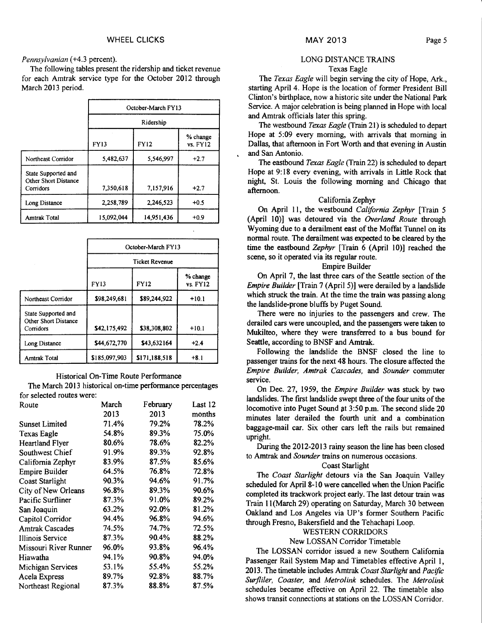#### *Pennsylvanian* (+4.3 percent).

The following tables present the ridership and ticket revenue for each Amtrak service type for the October 2012 through March 2013 period.

|                                                          | October-March FY13<br>Ridership |             |                      |
|----------------------------------------------------------|---------------------------------|-------------|----------------------|
|                                                          |                                 |             |                      |
|                                                          | <b>FY13</b>                     | <b>FY12</b> | % change<br>vs. FY12 |
| Northeast Corridor                                       | 5.482.637                       | 5,546,997   | $+2.7$               |
| State Supported and<br>Other Short Distance<br>Corridors | 7,350,618                       | 7,157,916   | $+2.7$               |
| Long Distance                                            | 2,258,789                       | 2,246,523   | $+0.5$               |
| <b>Amtrak Total</b>                                      | 15.092.044                      | 14,951,436  | $+0.9$               |

|                                                          | October-March FY13<br><b>Ticket Revenue</b> |               |                      |
|----------------------------------------------------------|---------------------------------------------|---------------|----------------------|
|                                                          |                                             |               |                      |
|                                                          | <b>FY13</b>                                 | <b>FY12</b>   | % change<br>vs. FY12 |
| Northeast Corridor                                       | \$98,249.681                                | \$89.244.922  | $+10.1$              |
| State Supported and<br>Other Short Distance<br>Corridors | \$42,175,492                                | \$38,308,802  | $+10.1$              |
| Long Distance                                            | \$44,672,770                                | \$43,632164   | $+2.4$               |
| <b>Amtrak Total</b>                                      | \$185,097,903                               | \$171,188,518 | $+8.1$               |

#### Historical On-Time Route Performance

The March 2013 historical on-time performance percentages for selected routes were:

| Route                   | March | February | Last 12 |
|-------------------------|-------|----------|---------|
|                         | 2013  | 2013     | months  |
| <b>Sunset Limited</b>   | 71.4% | 79.2%    | 78.2%   |
| <b>Texas Eagle</b>      | 54.8% | 89.3%    | 75.0%   |
| <b>Heartland Flyer</b>  | 80.6% | 78.6%    | 82.2%   |
| Southwest Chief         | 91.9% | 89.3%    | 92.8%   |
| California Zephyr       | 83.9% | 87.5%    | 85.6%   |
| <b>Empire Builder</b>   | 64.5% | 76.8%    | 72.8%   |
| Coast Starlight         | 90.3% | 94.6%    | 91.7%   |
| City of New Orleans     | 96.8% | 89.3%    | 90.6%   |
| Pacific Surfliner       | 87.3% | 91.0%    | 89.2%   |
| San Joaquin             | 63.2% | 92.0%    | 81.2%   |
| Capitol Corridor        | 94.4% | 96.8%    | 94.6%   |
| <b>Amtrak Cascades</b>  | 74.5% | 74.7%    | 72.5%   |
| <b>Illinois Service</b> | 87.3% | 90.4%    | 88.2%   |
| Missouri River Runner   | 96.0% | 93.8%    | 96.4%   |
| Hiawatha                | 94.1% | 90.8%    | 94.0%   |
| Michigan Services       | 53.1% | 55.4%    | 55.2%   |
| Acela Express           | 89.7% | 92.8%    | 88.7%   |
| Northeast Regional      | 87.3% | 88.8%    | 87.5%   |

#### LONG DISTANCE TRAINS Texas Eagle

The *Texas Eagle* will begin serving the city of Hope, Ark., starting April 4. Hope is the location of former President Bill Clinton's birthplace, now a historic site under the National Park Service. A major celebration is being planned in Hope with local and Amtrak officials later this spring.

The westbound *Texas Eagle* (Train 21) is scheduled to depart Hope at 5:09 every morning, with arrivals that morning in Dallas, that afternoon in Fort Worth and that evening in Austin and San Antonio.

The eastbound *Texas Eagle* (Train 22) is scheduled to depart Hope at 9:18 every evening, with arrivals in Little Rock that night, St. Louis the following morning and Chicago that afternoon.

## California Zephyr

On April 11, the westbound *California Zephyr* [Train 5 (April 10)] was detoured via the *Overland Route* through Wyoming due to a derailment east of the Moffat Tunnel on its normal route. The derailment was expected to be cleared by the time the eastbound *Zephyr* [Train 6 (April 10)] reached the scene, so it operated via its regular route.

#### Empire Builder

On April 7, the last three cars of the Seattle section of the *Empire Builder* [Train 7 (April 5)] were derailed by a landslide which struck the train. At the time the train was passing along the landslide-prone bluffs by Puget Sound.

There were no injuries to the passengers and crew. The derailed cars were uncoupled, and the passengers were taken to Mukilteo, where they were transferred to a bus bound for Seattle, according to BNSF and Amtrak.

Following the landslide the BNSF closed the line to passenger trains for the next 48 hours. The closure affected the *Empire Builder, Amtrak Cascades,* and *Sounder* commuter service.

On Dec. 27, 1959, the *Empire Builder* was stuck by two landslides. The first landslide swept three of the four units of the locomotive into Puget Sound at 3:50 p.m. The second slide 20 minutes later derailed the fourth unit and a combination baggage-mail car. Six other cars left the rails but remained upright.

During the 2012-2013 rainy season the line has been closed to Amtrak and *Sounder* trains on numerous occasions.

## Coast Starlight

The *Coast Starlight* detours via the San Joaquin Valley scheduled for April 8-10 were cancelled when the Union Pacific completed its trackwork project early. The last detour train was Train 11(March 29) operating on Saturday, March 30 between Oakland and Los Angeles via UP's former Southern Pacific through Fresno, Bakersfield and the Tehachapi Loop.

# WESTERN CORRIDORS

# New LOSSAN Corridor Timetable

The LOSSAN corridor issued a new Southern California Passenger Rail System Map and Timetables effective April 1, 2013. The timetable includes Amtrak *Coast Starlight* and *Pacific Surfliler, Coaster,* and *Metrolink* schedules. The *Metrolink*  schedules became effective on April 22. The timetable also shows transit connections at stations on the LOSSAN Corridor.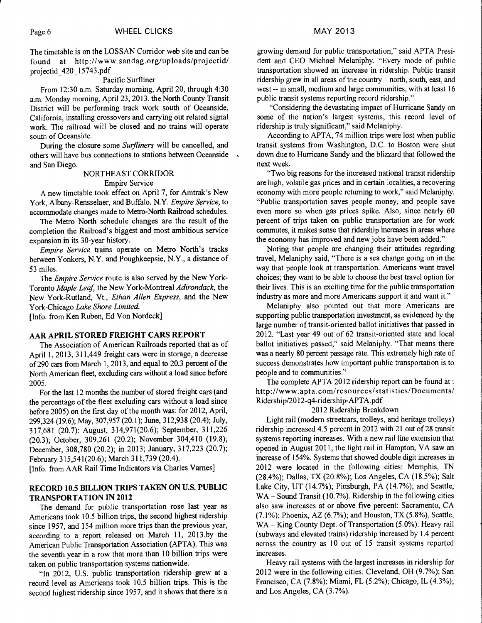The timetable is on the LOSSAN Corridor web site and can be found at http://www.sandag.org/uploads/projectid/ projectid\_420\_15743.pdf

#### Pacific Surfliner

From 12:30 a.m. Saturday morning, April 20, through 4:30 a.m. Monday morning, April 23, 2013, the North County Transit District will be performing track work south of Oceanside, California, installing crossovers and carrying out related signal work. The railroad will be closed and no trains will operate south of Oceanside.

During the closure some *Surfliners* will be cancelled, and others will have bus connections to stations between Oceanside  $\sim$ and San Diego.

## NORTHEAST CORRIDOR Empire Service

A new timetable took effect on April 7, for Amtrak's New York, Albany-Rensselaer, and Buffalo. N.Y. *Empire Service,* to accommodate changes made to Metro-North Railroad schedules.

The Metro North schedule changes are the result of the completion the Railroad's biggest and most ambitious service expansion in its 30-year history.

*Empire Service* trains operate on Metro North's tracks between Yonkers, N.Y. and Poughkeepsie, N.Y., a distance of 53 miles.

The *Empire Service* route is also served by the New York-Toronto *Maple Leaf* the New York-Montreal *Adirondack,* the New York-Rutland, Vt., *Ethan Allen Express,* and the New York-Chicago *Lake Shore Limited.* 

[Info. from Ken Ruben, Ed Von Nordeck]

# AAR APRIL STORED FREIGHT CARS REPORT

The Association of American Railroads reported that as of April 1, 2013, 311,449 freight cars were in storage, a decrease of 290 cars from March 1, 2013, and equal to 20.3 percent of the North American fleet, excluding cars without a load since before 2005.

For the last 12 months the number of stored freight cars (and the percentage of the fleet excluding cars without a load since before 2005) on the first day of the month was: for 2012, April, 299,324 (19.6); May, 307,957 (20.1); June, 312,938 (20.4); July, 317,681 (20.7): August, 314,971(20.6); September, 311,226 (20.3); October, 309,261 (20.2); November 304,410 (19.8); December, 308,780 (20.2); in 2013; January, 317,223 (20.7); February 315,541(20.6); March 311,739 (20.4).

[Info. from AAR Rail Time Indicators via Charles Varnes]

## RECORD 10.5 BILLION TRIPS TAKEN ON U.S. PUBLIC TRANSPORTATION IN 2012

The demand for public transportation rose last year as Americans took 10.5 billion trips, the second highest ridership since 1957, and 154 million more trips than the previous year, according to a report released on March 11, 2013,by the American Public Transportation Association (APTA). This was the seventh year in a row that more than 10 billion trips were taken on public transportation systems nationwide.

"In 2012, U.S. public transportation ridership grew at a record level as Americans took 10.5 billion trips. This is the second highest ridership since 1957, and it shows that there is a

growing demand for public transportation," said APTA President and CEO Michael Melaniphy. "Every mode of public transportation showed an increase in ridership. Public transit ridership grew in all areas of the country — north, south, east, and west -- in small, medium and large communities, with at least 16 public transit systems reporting record ridership."

"Considering the devastating impact of Hurricane Sandy on some of the nation's largest systems, this record level of ridership is truly significant," said Melaniphy.

According to APTA, 74 million trips were lost when public transit systems from Washington, D.C. to Boston were shut down due to Hurricane Sandy and the blizzard that followed the next week.

"Two big reasons for the increased national transit ridership are high, volatile gas prices and in certain localities, a recovering economy with more people returning to work," said Melaniphy. "Public transportation saves people money, and people save even more so when gas prices spike. Also, since nearly 60 percent of trips taken on public transportation are for work commutes, it makes sense that ridership increases in areas where the economy has improved and new jobs have been added."

Noting that people are changing their attitudes regarding travel, Melaniphy said, "There is a sea change going on in the way that people look at transportation. Americans want travel choices; they want to be able to choose the best travel option for their lives. This is an exciting time for the public transportation industry as more and more Americans support it and want it."

Melaniphy also pointed out that more Americans are supporting public transportation investment, as evidenced by the large number of transit-oriented ballot initiatives that passed in 2012. "Last year 49 out of 62 transit-oriented state and local ballot initiatives passed," said Melaniphy. "That means there was a nearly 80 percent passage rate. This extremely high rate of success demonstrates how important public transportation is to people and to communities."

The complete APTA 2012 ridership report can be found at : http://www.apta.com/resources/statistics/Documents/ Ridership/2012-q4-ridership-APTA.pdf

#### 2012 Ridership Breakdown

Light rail (modern streetcars, trolleys, and heritage trolleys) ridership increased 4.5 percent in 2012 with 21 out of 28 transit systems reporting increases. With a new rail line extension that opened in August 2011, the light rail in Hampton, VA saw an increase of 154%. Systems that showed double digit increases in 2012 were located in the following cities: Memphis, TN (28.4%); Dallas, TX (20.8%); Los Angeles, CA (18.5%); Salt Lake City, UT (14.7%); Pittsburgh, PA (14.7%); and Seattle, WA – Sound Transit (10.7%). Ridership in the following cities also saw increases at or above five percent: Sacramento, CA (7.1%); Phoenix, AZ (6.7%); and Houston, TX (5.8%), Seattle, WA — King County Dept. of Transportation (5.0%). Heavy rail (subways and elevated trains) ridership increased by 1.4 percent across the country as 10 out of 15 transit systems reported increases.

Heavy rail systems with the largest increases in ridership for 2012 were in the following cities: Cleveland, OH (9.7%); San Francisco, CA (7.8%); Miami, FL (5.2%); Chicago, IL (4.3%); and Los Angeles, CA (3.7%).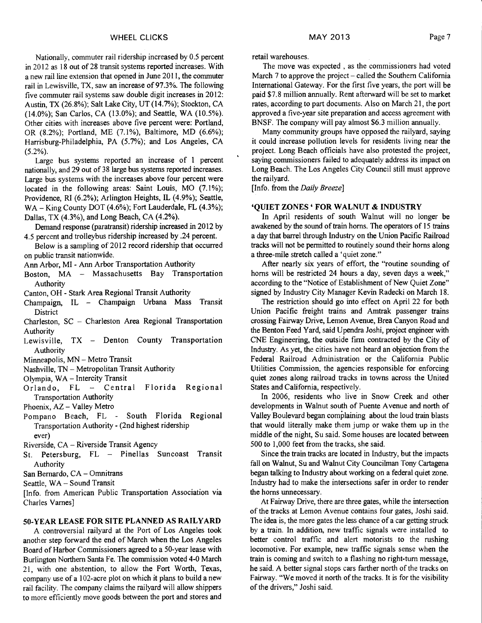Nationally, commuter rail ridership increased by 0.5 percent in 2012 as 18 out of 28 transit systems reported increases. With a new rail line extension that opened in June 2011, the commuter rail in Lewisville, TX, saw an increase of 97.3%. The following five commuter rail systems saw double digit increases in 2012: Austin, TX (26.8%); Salt Lake City, UT (14.7%); Stockton, CA (14.0%); San Carlos, CA (13.0%); and Seattle, WA (10.5%). Other cities with increases above five percent were: Portland, OR (8.2%); Portland, ME (7.1%), Baltimore, MD (6.6%); Harrisburg-Philadelphia, PA (5.7%); and Los Angeles, CA (5.2%).

Large bus systems reported an increase of 1 percent nationally, and 29 out of 38 large bus systems reported increases. Large bus systems with the increases above four percent were located in the following areas: Saint Louis, MO (7.1%); Providence, RI (6.2%); Arlington Heights, IL (4.9%); Seattle, WA – King County DOT (4.6%); Fort Lauderdale, FL (4.3%); Dallas, TX (4.3%), and Long Beach, CA (4.2%).

Demand response (paratransit) ridership increased in 2012 by 4.5 percent and trolleybus ridership increased by .24 percent.

Below is a sampling of 2012 record ridership that occurred on public transit nationwide.

Ann Arbor, MI - Ann Arbor Transportation Authority

Boston, MA — Massachusetts Bay Transportation Authority

Canton, OH - Stark Area Regional Transit Authority

- Champaign, IL Champaign Urbana Mass Transit **District**
- Charleston, SC Charleston Area Regional Transportation Authority
- Lewisville, TX Denton County Transportation Authority
- Minneapolis, MN Metro Transit
- Nashville, TN Metropolitan Transit Authority
- Olympia, WA Intercity Transit
- Orlando, FL Central Florida Regional Transportation Authority
- Phoenix, AZ Valley Metro
- Pompano Beach, FL South Florida Regional Transportation Authority - (2nd highest ridership ever)

Riverside, CA — Riverside Transit Agency

- St. Petersburg, FL Pinellas Suncoast Transit Authority
- San Bernardo, CA Omnitrans
- Seattle, WA Sound Transit

[Info. from American Public Transportation Association via Charles Varnes]

#### **50-YEAR LEASE FOR SITE PLANNED AS RAILYARD**

A controversial railyard at the Port of Los Angeles took another step forward the end of March when the Los Angeles Board of Harbor Commissioners agreed to a 50-year lease with Burlington Northern Santa Fe. The commission voted 4-0 March 21, with one abstention, to allow the Fort Worth, Texas, company use of a 102-acre plot on which it plans to build a new rail facility. The company claims the railyard will allow shippers to more efficiently move goods between the port and stores and retail warehouses.

The move was expected , as the commissioners had voted March 7 to approve the project — called the Southern California International Gateway. For the first five years, the port will be paid \$7.8 million annually. Rent afterward will be set to market rates, according to part documents. Also on March 21, the port approved a five-year site preparation and access agreement with BNSF. The company will pay almost \$6.3 million annually.

Many community groups have opposed the railyard, saying it could increase pollution levels for residents living near the project. Long Beach officials have also protested the project, saying commissioners failed to adequately address its impact on Long Beach. The Los Angeles City Council still must approve the railyard.

[Info. from the *Daily Breeze]* 

#### **`QUIET ZONES ' FOR WALNUT & INDUSTRY**

In April residents of south Walnut will no longer be awakened by the sound of train horns. The operators of 15 trains a day that barrel through Industry on the Union Pacific Railroad tracks will not be permitted to routinely sound their horns along a three-mile stretch called a 'quiet zone."

After nearly six years of effort, the "routine sounding of horns will be restricted 24 hours a day, seven days a week," according to the "Notice of Establishment of New Quiet Zone" signed by Industry City Manager Kevin Radecki on March 18.

The restriction should go into effect on April 22 for both Union Pacific freight trains and Amtrak passenger trains crossing Fairway Drive, Lemon Avenue, Brea Canyon Road and the Benton Feed Yard, said Upendra Joshi, project engineer with CNE Engineering, the outside firm contracted by the City of Industry. As yet, the cities have not heard an objection from the Federal Railroad Administration or the California Public Utilities Commission, the agencies responsible for enforcing quiet zones along railroad tracks in towns across the United States and California, respectively.

In 2006, residents who live in Snow Creek and other developments in Walnut south of Puente Avenue and north of Valley Boulevard began complaining about the loud train blasts that would literally make them jump or wake them up in the middle of the night, Su said. Some houses are located between 500 to 1,000 feet from the tracks, she said.

Since the train tracks are located in Industry, but the impacts fall on Walnut, Su and Walnut City Councilman Tony Cartagena began talking to Industry about working on a federal quiet zone. Industry had to make the intersections safer in order to render the horns unnecessary.

At Fairway Drive, there are three gates, while the intersection of the tracks at Lemon Avenue contains four gates, Joshi said. The idea is, the more gates the less chance of a car getting struck by a train. In addition, new traffic signals were installed to better control traffic and alert motorists to the rushing locomotive. For example, new traffic signals sense when the train is coming and switch to a flashing no right-turn message, he said. A better signal stops cars farther north of the tracks on Fairway. "We moved it north of the tracks. It is for the visibility of the drivers," Joshi said.